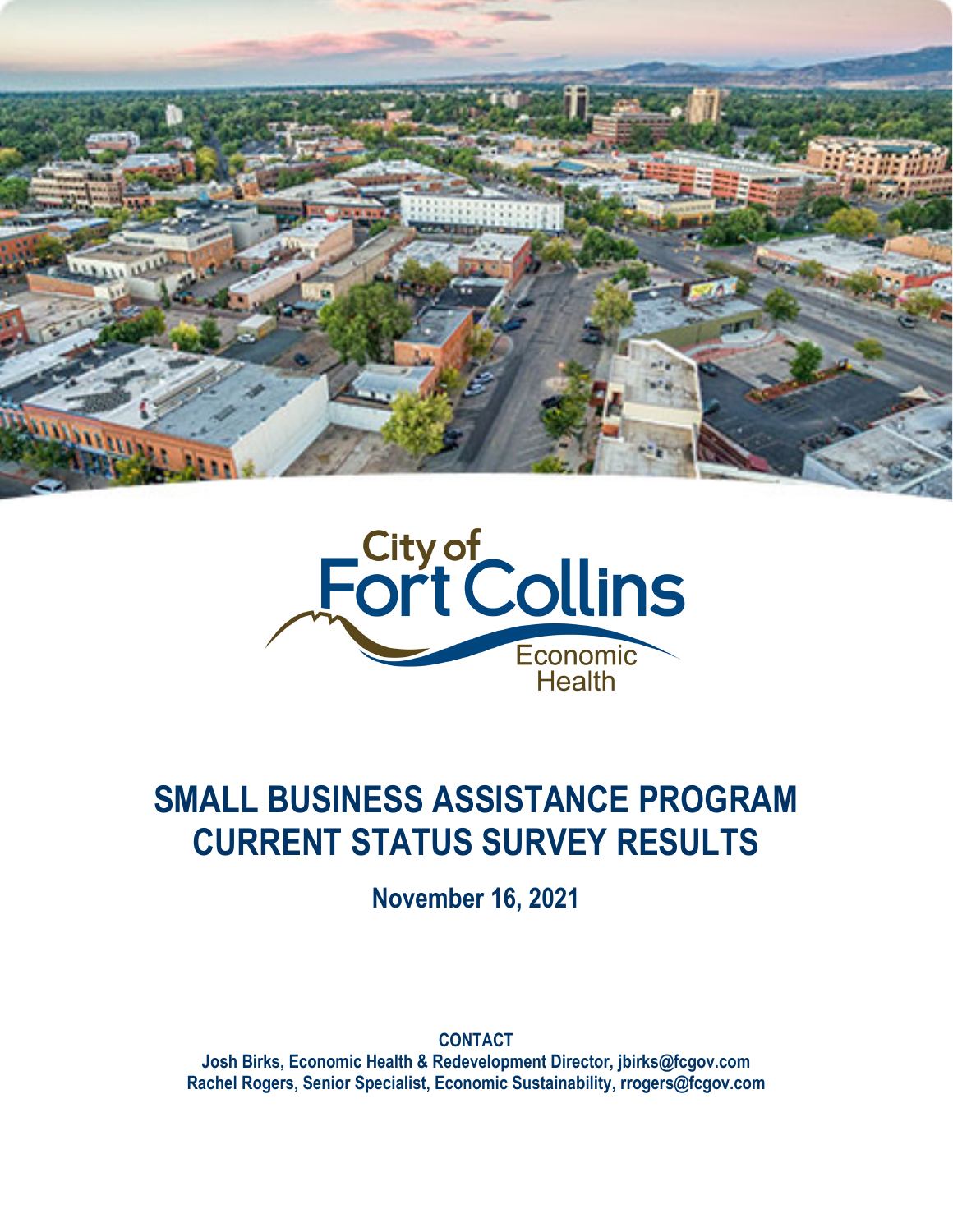



# **SMALL BUSINESS ASSISTANCE PROGRAM CURRENT STATUS SURVEY RESULTS**

**November 16, 2021**

#### **CONTACT**

**Josh Birks, Economic Health & Redevelopment Director, jbirks@fcgov.com Rachel Rogers, Senior Specialist, Economic Sustainability, rrogers@fcgov.com**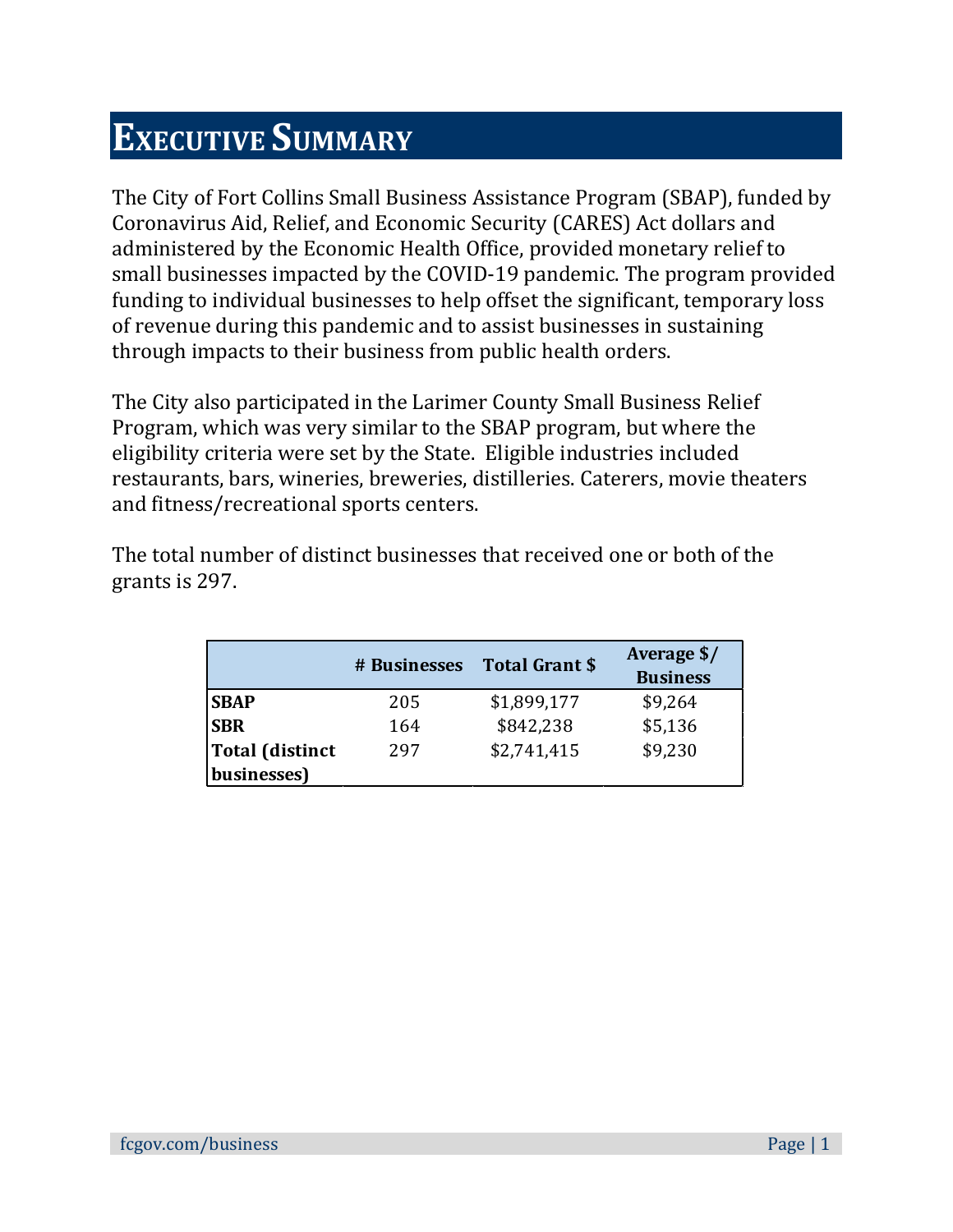### **EXECUTIVE SUMMARY**

The City of Fort Collins Small Business Assistance Program (SBAP), funded by Coronavirus Aid, Relief, and Economic Security (CARES) Act dollars and administered by the Economic Health Office, provided monetary relief to small businesses impacted by the COVID-19 pandemic. The program provided funding to individual businesses to help offset the significant, temporary loss of revenue during this pandemic and to assist businesses in sustaining through impacts to their business from public health orders.

The City also participated in the Larimer County Small Business Relief Program, which was very similar to the SBAP program, but where the eligibility criteria were set by the State. Eligible industries included restaurants, bars, wineries, breweries, distilleries. Caterers, movie theaters and fitness/recreational sports centers.

|                        | # Businesses | <b>Total Grant \$</b> | Average \$/<br><b>Business</b> |
|------------------------|--------------|-----------------------|--------------------------------|
| <b>SBAP</b>            | 205          | \$1,899,177           | \$9,264                        |
| <b>SBR</b>             | 164          | \$842,238             | \$5,136                        |
| <b>Total (distinct</b> | 297          | \$2,741,415           | \$9,230                        |
| businesses)            |              |                       |                                |

The total number of distinct businesses that received one or both of the grants is 297.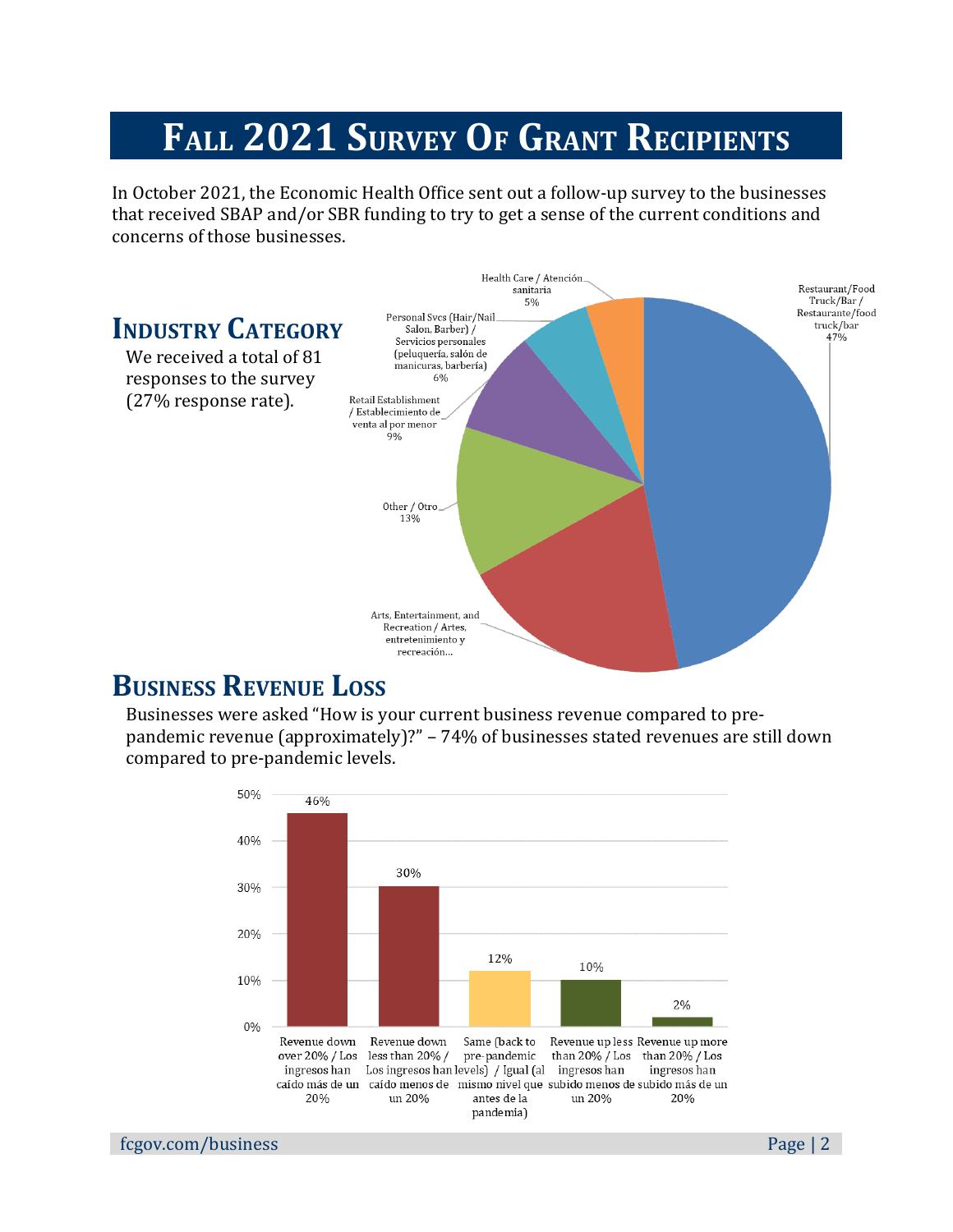## **FALL 2021 SURVEY OF GRANT RECIPIENTS**

In October 2021, the Economic Health Office sent out a follow-up survey to the businesses that received SBAP and/or SBR funding to try to get a sense of the current conditions and concerns of those businesses.



### **BUSINESS REVENUE LOSS**

Businesses were asked "How is your current business revenue compared to prepandemic revenue (approximately)?" – 74% of businesses stated revenues are still down compared to pre-pandemic levels.

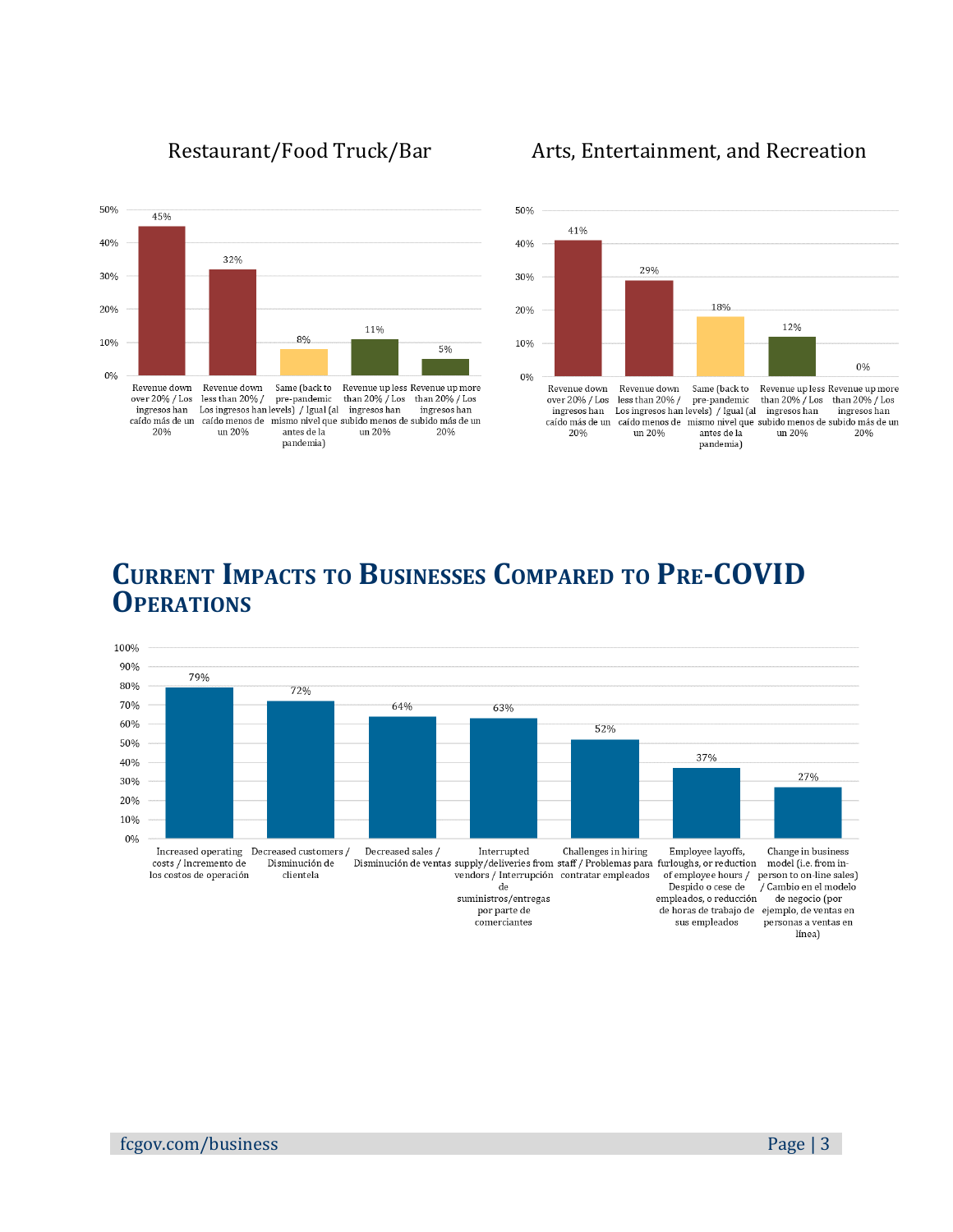

### Restaurant/Food Truck/Bar Arts, Entertainment, and Recreation



### **CURRENT IMPACTS TO BUSINESSES COMPARED TO PRE-COVID OPERATIONS**

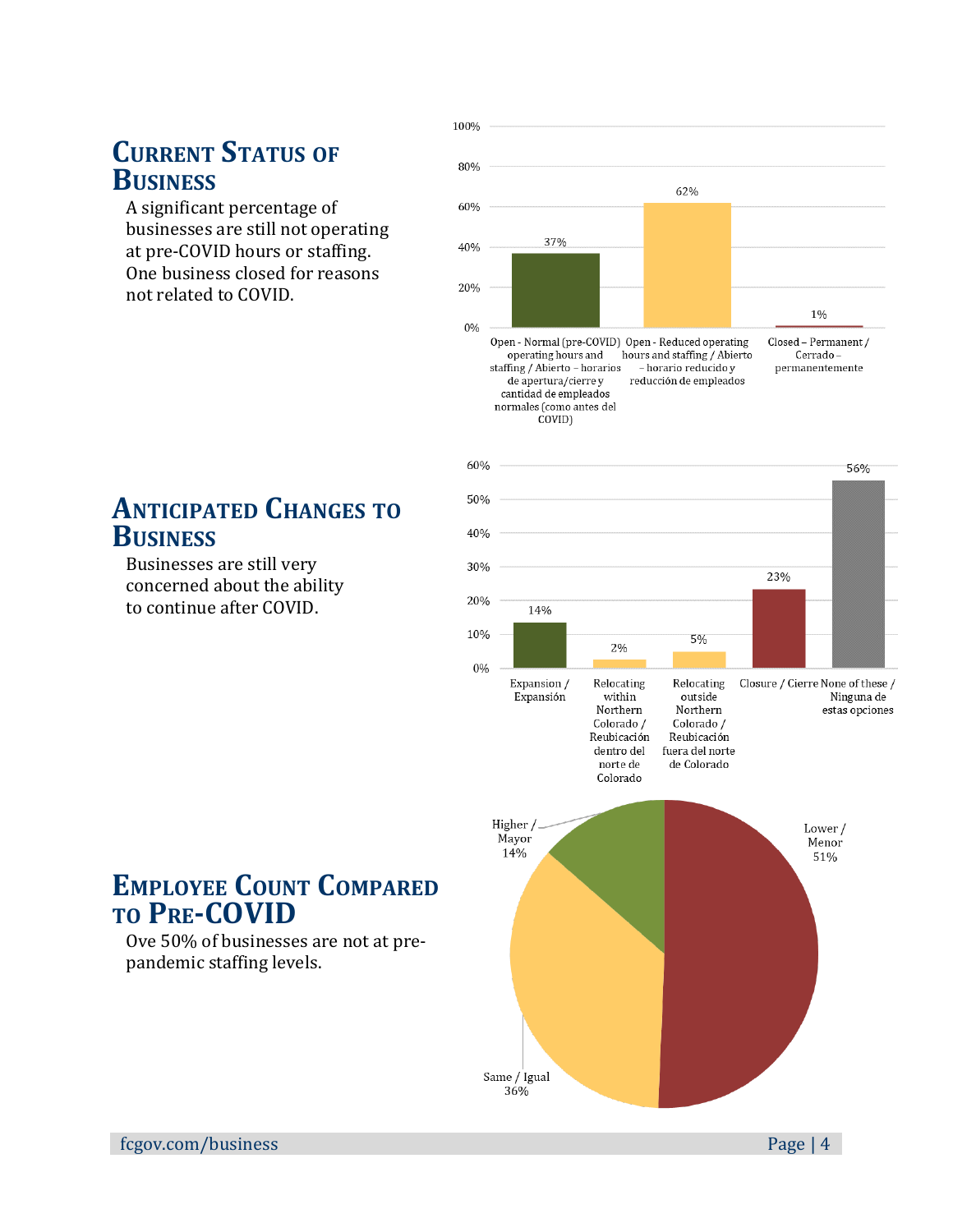# **CURRENT STATUS OF BUSINESS**

A significant percentage of businesses are still not operating at pre-COVID hours or staffing. One business closed for reasons not related to COVID.



Same / Igual 36%

# **ANTICIPATED CHANGES TO BUSINESS**

Businesses are still very concerned about the ability to continue after COVID.

### **EMPLOYEE COUNT COMPARED TO PRE-COVID**

Ove 50% of businesses are not at prepandemic staffing levels.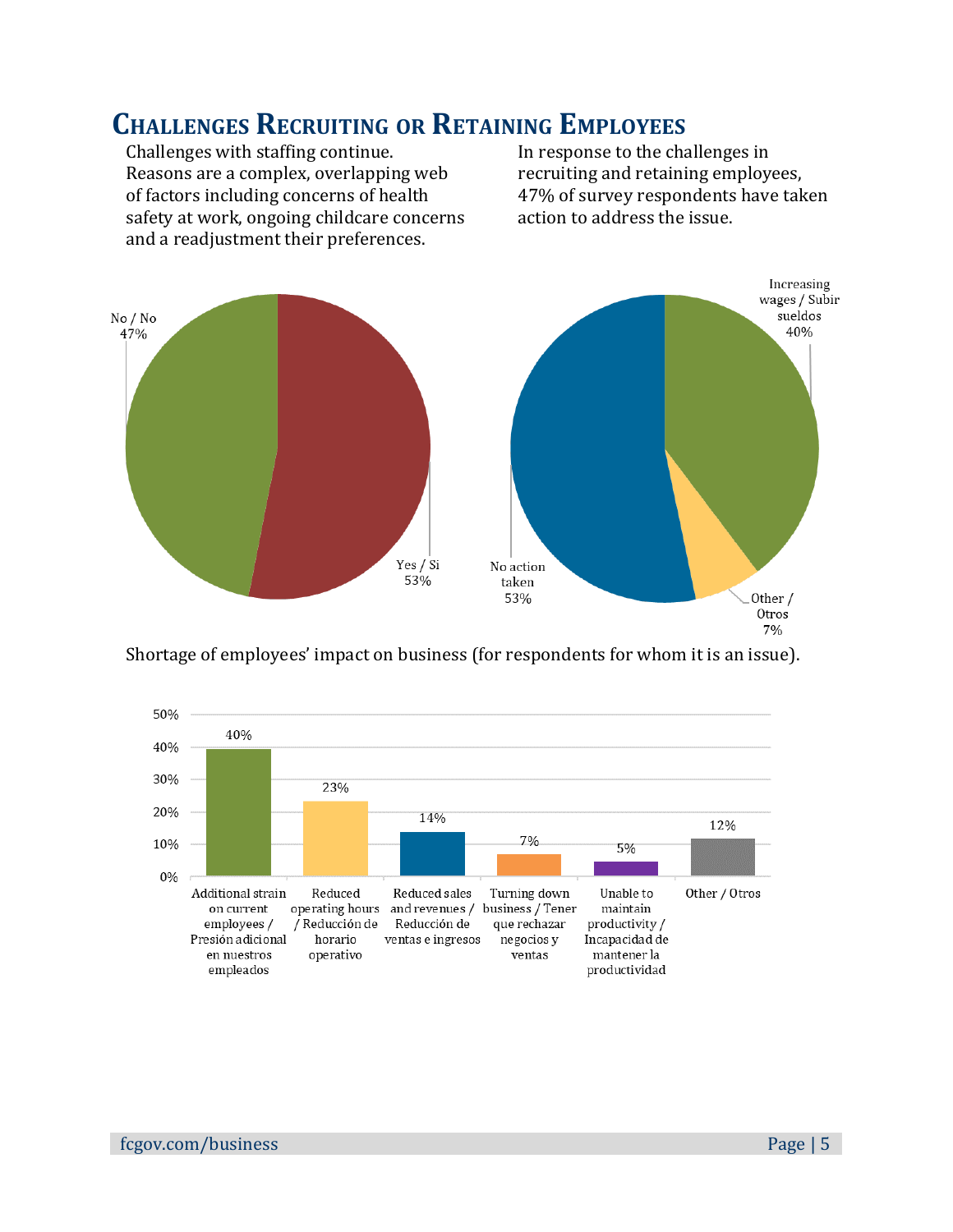# **CHALLENGES RECRUITING OR RETAINING EMPLOYEES**

Challenges with staffing continue.<br>
Reasons are a complex, overlapping web recruiting and retaining employees, Reasons are a complex, overlapping web of factors including concerns of health safety at work, ongoing childcare concerns and a readjustment their preferences.

47% of survey respondents have taken<br>action to address the issue.



Shortage of employees' impact on business (for respondents for whom it is an issue).